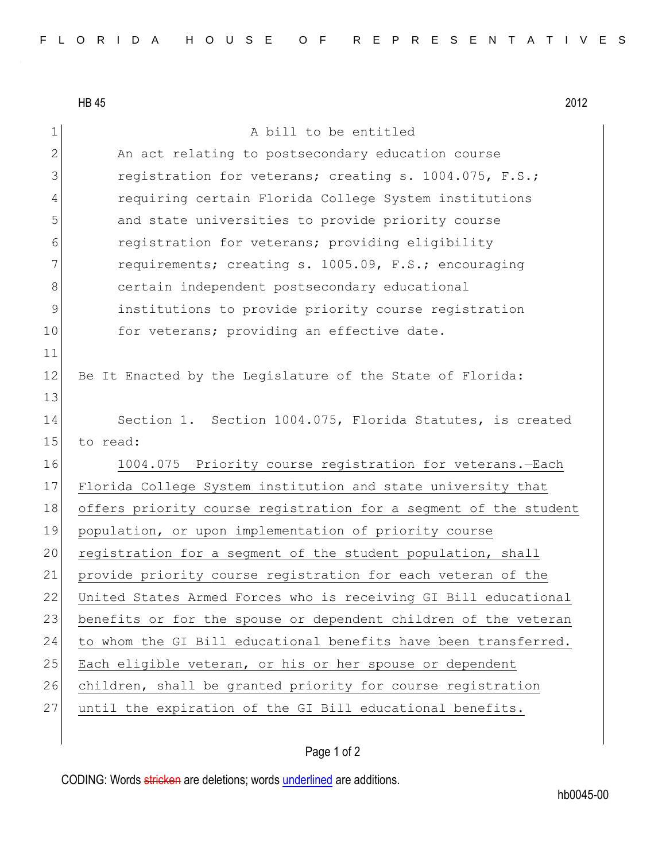HB 45 2012 1 A bill to be entitled 2 An act relating to postsecondary education course 3 registration for veterans; creating s. 1004.075, F.S.; 4 requiring certain Florida College System institutions 5 and state universities to provide priority course 6 registration for veterans; providing eligibility 7 requirements; creating s. 1005.09, F.S.; encouraging 8 certain independent postsecondary educational 9 institutions to provide priority course registration 10 for veterans; providing an effective date. 11 12 Be It Enacted by the Legislature of the State of Florida: 13 14 Section 1. Section 1004.075, Florida Statutes, is created 15 to read: 16 1004.075 Priority course registration for veterans.—Each 17 Florida College System institution and state university that 18 offers priority course registration for a segment of the student 19 population, or upon implementation of priority course 20 registration for a segment of the student population, shall 21 provide priority course registration for each veteran of the 22 United States Armed Forces who is receiving GI Bill educational 23 benefits or for the spouse or dependent children of the veteran 24 to whom the GI Bill educational benefits have been transferred. 25 Each eligible veteran, or his or her spouse or dependent 26 children, shall be granted priority for course registration 27 until the expiration of the GI Bill educational benefits.

## Page 1 of 2

CODING: Words stricken are deletions; words underlined are additions.